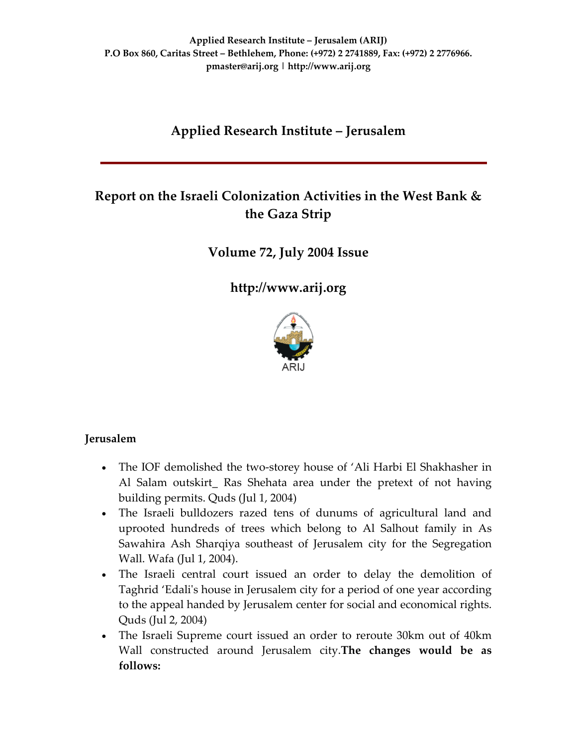# **Applied Research Institute – Jerusalem**

## **Report on the Israeli Colonization Activities in the West Bank & the Gaza Strip**

**Volume 72, July 2004 Issue**

**[http://www.arij.org](http://www.arij.org/)**



### **Jerusalem**

- The IOF demolished the two-storey house of 'Ali Harbi El Shakhasher in Al Salam outskirt\_ Ras Shehata area under the pretext of not having building permits. Quds (Jul 1, 2004)
- The Israeli bulldozers razed tens of dunums of agricultural land and uprooted hundreds of trees which belong to Al Salhout family in As Sawahira Ash Sharqiya southeast of Jerusalem city for the Segregation Wall. Wafa (Jul 1, 2004).
- The Israeli central court issued an order to delay the demolition of Taghrid 'Edaliʹs house in Jerusalem city for a period of one year according to the appeal handed by Jerusalem center for social and economical rights. Quds (Jul 2, 2004)
- The Israeli Supreme court issued an order to reroute 30km out of 40km Wall constructed around Jerusalem city.**The changes would be as follows:**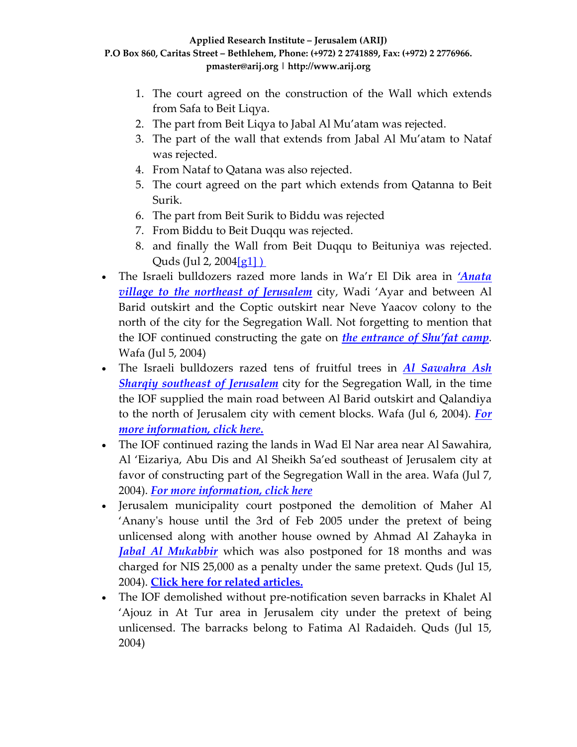- 1. The court agreed on the construction of the Wall which extends from Safa to Beit Liqya.
- 2. The part from Beit Liqya to Jabal Al Mu'atam was rejected.
- 3. The part of the wall that extends from Jabal Al Mu'atam to Nataf was rejected.
- 4. From Nataf to Qatana was also rejected.
- 5. The court agreed on the part which extends from Qatanna to Beit Surik.
- 6. The part from Beit Surik to Biddu was rejected
- 7. From Biddu to Beit Duqqu was rejected.
- 8. and finally the Wall from Beit Duqqu to Beituniya was rejected. Quds (Jul 2, 2004 $\left[ q_1 \right]$ )
- The Israeli bulldozers razed more lands in Wa'r El Dik area in *['Anata](http://www.poica.org/editor/case_studies/view.php?recordID=1008) village to the northeast of [Jerusalem](http://www.poica.org/editor/case_studies/view.php?recordID=1008)* city, Wadi 'Ayar and between Al Barid outskirt and the Coptic outskirt near Neve Yaacov colony to the north of the city for the Segregation Wall. Not forgetting to mention that the IOF continued constructing the gate on *the [entrance](http://www.poica.org/editor/case_studies/view.php?recordID=427) of Shu'fat camp*. Wafa (Jul 5, 2004)
- The Israeli bulldozers razed tens of fruitful trees in *Al [Sawahra](http://www.poica.org/editor/case_studies/view.php?recordID=426) Ash Sharqiy southeast of [Jerusalem](http://www.poica.org/editor/case_studies/view.php?recordID=426)* city for the Segregation Wall, in the time the IOF supplied the main road between Al Barid outskirt and Qalandiya to the north of Jerusalem city with cement blocks. Wafa (Jul 6, 2004). *[For](http://www.poica.org/editor/case_studies/view.php?recordID=426) more [information,](http://www.poica.org/editor/case_studies/view.php?recordID=426) click here.*
- The IOF continued razing the lands in Wad El Nar area near Al Sawahira, Al 'Eizariya, Abu Dis and Al Sheikh Sa'ed southeast of Jerusalem city at favor of constructing part of the Segregation Wall in the area. Wafa (Jul 7, 2004). *For more [information,](http://www.poica.org/editor/case_studies/view.php?recordID=416) click here*
- Jerusalem municipality court postponed the demolition of Maher Al 'Ananyʹs house until the 3rd of Feb 2005 under the pretext of being unlicensed along with another house owned by Ahmad Al Zahayka in *Jabal Al [Mukabbir](http://www.poica.org/editor/case_studies/view.php?recordID=325)* which was also postponed for 18 months and was charged for NIS 25,000 as a penalty under the same pretext. Quds (Jul 15, 2004). **Click here for related [articles.](http://www.poica.org/editor/case_studies/view.php?recordID=351)**
- The IOF demolished without pre-notification seven barracks in Khalet Al 'Ajouz in At Tur area in Jerusalem city under the pretext of being unlicensed. The barracks belong to Fatima Al Radaideh. Quds (Jul 15, 2004)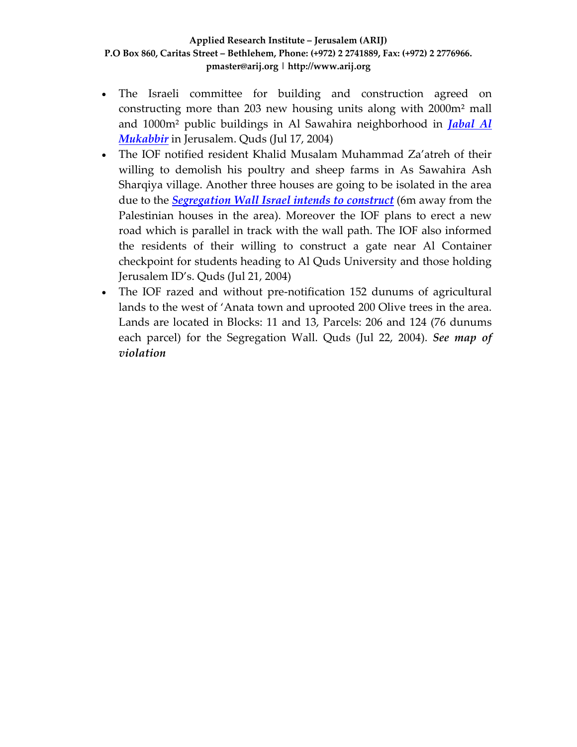- The Israeli committee for building and construction agreed on constructing more than 203 new housing units along with 2000m² mall and 1000m² public buildings in Al Sawahira neighborhood in *[Jabal](http://www.poica.org/editor/case_studies/view.php?recordID=325) Al [Mukabbir](http://www.poica.org/editor/case_studies/view.php?recordID=325)* in Jerusalem. Quds (Jul 17, 2004)
- The IOF notified resident Khalid Musalam Muhammad Za'atreh of their willing to demolish his poultry and sheep farms in As Sawahira Ash Sharqiya village. Another three houses are going to be isolated in the area due to the *[Segregation](http://www.poica.org/editor/case_studies/view.php?recordID=416) Wall Israel intends to construct* (6m away from the Palestinian houses in the area). Moreover the IOF plans to erect a new road which is parallel in track with the wall path. The IOF also informed the residents of their willing to construct a gate near Al Container checkpoint for students heading to Al Quds University and those holding Jerusalem ID's. Quds (Jul 21, 2004)
- The IOF razed and without pre-notification 152 dunums of agricultural lands to the west of 'Anata town and uprooted 200 Olive trees in the area. Lands are located in Blocks: 11 and 13, Parcels: 206 and 124 (76 dunums each parcel) for the Segregation Wall. Quds (Jul 22, 2004). *See map of violation*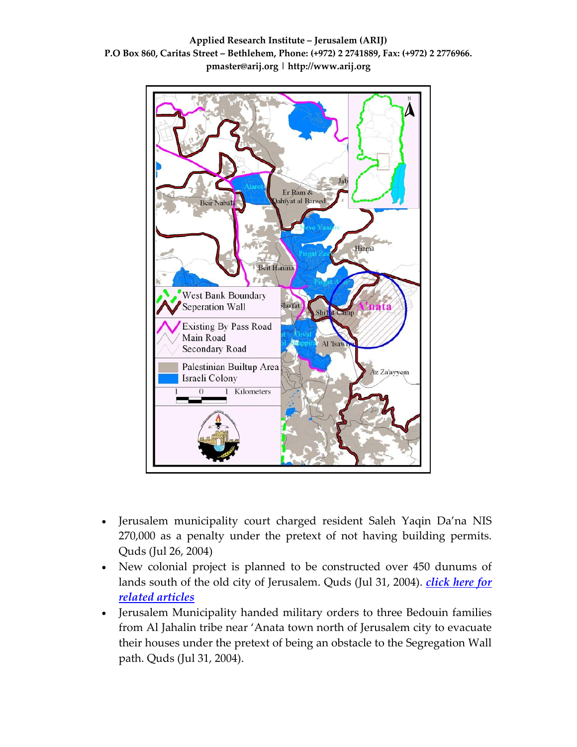

**Applied Research Institute – Jerusalem (ARIJ) P.O Box 860, Caritas Street – Bethlehem, Phone: (+972) 2 2741889, Fax: (+972) 2 2776966. pmaster@arij.org | http://www.arij.org**

- Jerusalem municipality court charged resident Saleh Yaqin Da'na NIS 270,000 as a penalty under the pretext of not having building permits. Quds (Jul 26, 2004)
- New colonial project is planned to be constructed over 450 dunums of lands south of the old city of Jerusalem. Quds (Jul 31, 2004). *[click](http://www.poica.org/editor/case_studies/view.php?recordID=400) here for related [articles](http://www.poica.org/editor/case_studies/view.php?recordID=400)*
- Jerusalem Municipality handed military orders to three Bedouin families from Al Jahalin tribe near 'Anata town north of Jerusalem city to evacuate their houses under the pretext of being an obstacle to the Segregation Wall path. Quds (Jul 31, 2004).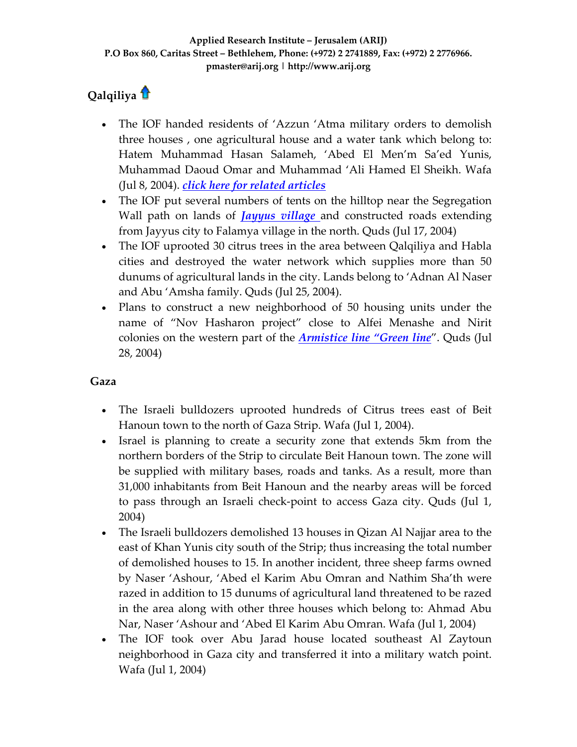# **Qalqiliy[a](http://www.arij.org/index.php?option=com_content&task=view&id=204&Itemid=35&lang=en)**

- The IOF handed residents of 'Azzun 'Atma military orders to demolish three houses , one agricultural house and a water tank which belong to: Hatem Muhammad Hasan Salameh, 'Abed El Men'm Sa'ed Yunis, Muhammad Daoud Omar and Muhammad 'Ali Hamed El Sheikh. Wafa (Jul 8, 2004). *click here for related [articles](http://www.poica.org/editor/case_studies/view.php?recordID=395)*
- The IOF put several numbers of tents on the hilltop near the Segregation Wall path on lands of *Jayyus [village](http://www.poica.org/editor/case_studies/view.php?recordID=319)* and constructed roads extending from Jayyus city to Falamya village in the north. Quds (Jul 17, 2004)
- The IOF uprooted 30 citrus trees in the area between Qalqiliya and Habla cities and destroyed the water network which supplies more than 50 dunums of agricultural lands in the city. Lands belong to 'Adnan Al Naser and Abu 'Amsha family. Quds (Jul 25, 2004).
- Plans to construct a new neighborhood of 50 housing units under the name of "Nov Hasharon project" close to Alfei Menashe and Nirit colonies on the western part of the *[Armistice](http://www.poica.org/glossary/glossary.php#a3) line "Green line*". Quds (Jul 28, 2004)

### **Gaza**

- The Israeli bulldozers uprooted hundreds of Citrus trees east of Beit Hanoun town to the north of Gaza Strip. Wafa (Jul 1, 2004).
- Israel is planning to create a security zone that extends 5km from the northern borders of the Strip to circulate Beit Hanoun town. The zone will be supplied with military bases, roads and tanks. As a result, more than 31,000 inhabitants from Beit Hanoun and the nearby areas will be forced to pass through an Israeli check‐point to access Gaza city. Quds (Jul 1, 2004)
- The Israeli bulldozers demolished 13 houses in Qizan Al Najjar area to the east of Khan Yunis city south of the Strip; thus increasing the total number of demolished houses to 15. In another incident, three sheep farms owned by Naser 'Ashour, 'Abed el Karim Abu Omran and Nathim Sha'th were razed in addition to 15 dunums of agricultural land threatened to be razed in the area along with other three houses which belong to: Ahmad Abu Nar, Naser 'Ashour and 'Abed El Karim Abu Omran. Wafa (Jul 1, 2004)
- The IOF took over Abu Jarad house located southeast Al Zaytoun neighborhood in Gaza city and transferred it into a military watch point. Wafa (Jul 1, 2004)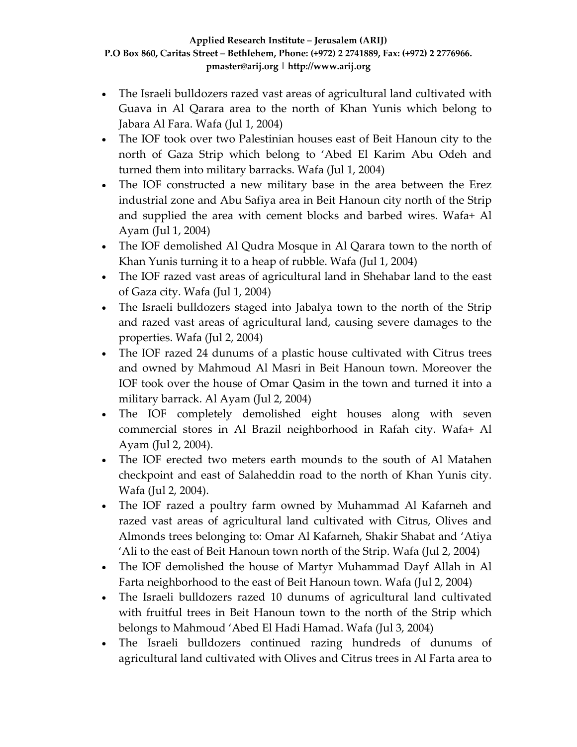- The Israeli bulldozers razed vast areas of agricultural land cultivated with Guava in Al Qarara area to the north of Khan Yunis which belong to Jabara Al Fara. Wafa (Jul 1, 2004)
- The IOF took over two Palestinian houses east of Beit Hanoun city to the north of Gaza Strip which belong to 'Abed El Karim Abu Odeh and turned them into military barracks. Wafa (Jul 1, 2004)
- The IOF constructed a new military base in the area between the Erez industrial zone and Abu Safiya area in Beit Hanoun city north of the Strip and supplied the area with cement blocks and barbed wires. Wafa+ Al Ayam (Jul 1, 2004)
- The IOF demolished Al Qudra Mosque in Al Qarara town to the north of Khan Yunis turning it to a heap of rubble. Wafa (Jul 1, 2004)
- The IOF razed vast areas of agricultural land in Shehabar land to the east of Gaza city. Wafa (Jul 1, 2004)
- The Israeli bulldozers staged into Jabalya town to the north of the Strip and razed vast areas of agricultural land, causing severe damages to the properties. Wafa (Jul 2, 2004)
- The IOF razed 24 dunums of a plastic house cultivated with Citrus trees and owned by Mahmoud Al Masri in Beit Hanoun town. Moreover the IOF took over the house of Omar Qasim in the town and turned it into a military barrack. Al Ayam (Jul 2, 2004)
- The IOF completely demolished eight houses along with seven commercial stores in Al Brazil neighborhood in Rafah city. Wafa+ Al Ayam (Jul 2, 2004).
- The IOF erected two meters earth mounds to the south of Al Matahen checkpoint and east of Salaheddin road to the north of Khan Yunis city. Wafa (Jul 2, 2004).
- The IOF razed a poultry farm owned by Muhammad Al Kafarneh and razed vast areas of agricultural land cultivated with Citrus, Olives and Almonds trees belonging to: Omar Al Kafarneh, Shakir Shabat and 'Atiya 'Ali to the east of Beit Hanoun town north of the Strip. Wafa (Jul 2, 2004)
- The IOF demolished the house of Martyr Muhammad Dayf Allah in Al Farta neighborhood to the east of Beit Hanoun town. Wafa (Jul 2, 2004)
- The Israeli bulldozers razed 10 dunums of agricultural land cultivated with fruitful trees in Beit Hanoun town to the north of the Strip which belongs to Mahmoud 'Abed El Hadi Hamad. Wafa (Jul 3, 2004)
- The Israeli bulldozers continued razing hundreds of dunums of agricultural land cultivated with Olives and Citrus trees in Al Farta area to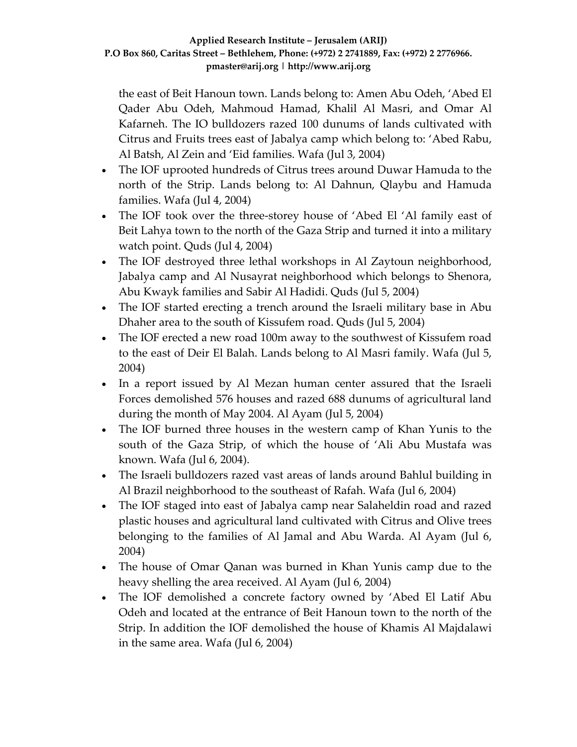the east of Beit Hanoun town. Lands belong to: Amen Abu Odeh, 'Abed El Qader Abu Odeh, Mahmoud Hamad, Khalil Al Masri, and Omar Al Kafarneh. The IO bulldozers razed 100 dunums of lands cultivated with Citrus and Fruits trees east of Jabalya camp which belong to: 'Abed Rabu, Al Batsh, Al Zein and 'Eid families. Wafa (Jul 3, 2004)

- The IOF uprooted hundreds of Citrus trees around Duwar Hamuda to the north of the Strip. Lands belong to: Al Dahnun, Qlaybu and Hamuda families. Wafa (Jul 4, 2004)
- The IOF took over the three-storey house of 'Abed El 'Al family east of Beit Lahya town to the north of the Gaza Strip and turned it into a military watch point. Quds (Jul 4, 2004)
- The IOF destroyed three lethal workshops in Al Zaytoun neighborhood, Jabalya camp and Al Nusayrat neighborhood which belongs to Shenora, Abu Kwayk families and Sabir Al Hadidi. Quds (Jul 5, 2004)
- The IOF started erecting a trench around the Israeli military base in Abu Dhaher area to the south of Kissufem road. Quds (Jul 5, 2004)
- The IOF erected a new road 100m away to the southwest of Kissufem road to the east of Deir El Balah. Lands belong to Al Masri family. Wafa (Jul 5, 2004)
- In a report issued by Al Mezan human center assured that the Israeli Forces demolished 576 houses and razed 688 dunums of agricultural land during the month of May 2004. Al Ayam (Jul 5, 2004)
- The IOF burned three houses in the western camp of Khan Yunis to the south of the Gaza Strip, of which the house of 'Ali Abu Mustafa was known. Wafa (Jul 6, 2004).
- The Israeli bulldozers razed vast areas of lands around Bahlul building in Al Brazil neighborhood to the southeast of Rafah. Wafa (Jul 6, 2004)
- The IOF staged into east of Jabalya camp near Salaheldin road and razed plastic houses and agricultural land cultivated with Citrus and Olive trees belonging to the families of Al Jamal and Abu Warda. Al Ayam (Jul 6, 2004)
- The house of Omar Qanan was burned in Khan Yunis camp due to the heavy shelling the area received. Al Ayam (Jul 6, 2004)
- The IOF demolished a concrete factory owned by 'Abed El Latif Abu Odeh and located at the entrance of Beit Hanoun town to the north of the Strip. In addition the IOF demolished the house of Khamis Al Majdalawi in the same area. Wafa (Jul 6, 2004)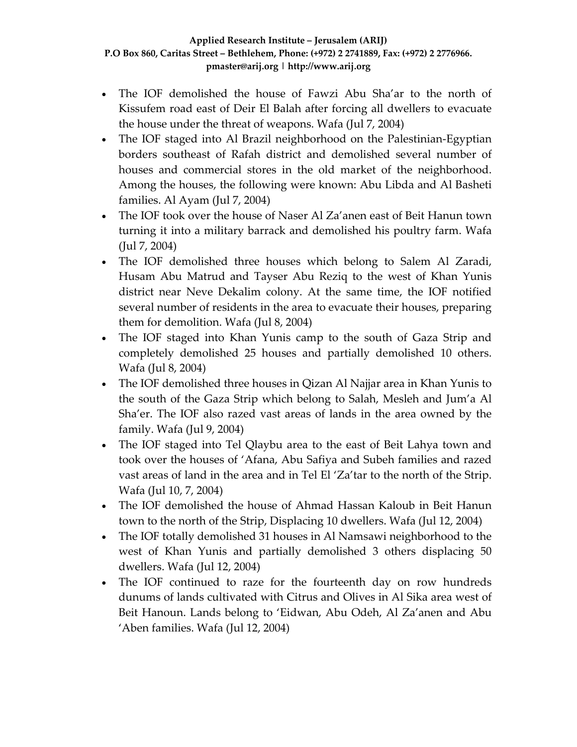- The IOF demolished the house of Fawzi Abu Sha'ar to the north of Kissufem road east of Deir El Balah after forcing all dwellers to evacuate the house under the threat of weapons. Wafa (Jul 7, 2004)
- The IOF staged into Al Brazil neighborhood on the Palestinian-Egyptian borders southeast of Rafah district and demolished several number of houses and commercial stores in the old market of the neighborhood. Among the houses, the following were known: Abu Libda and Al Basheti families. Al Ayam (Jul 7, 2004)
- The IOF took over the house of Naser Al Za'anen east of Beit Hanun town turning it into a military barrack and demolished his poultry farm. Wafa (Jul 7, 2004)
- The IOF demolished three houses which belong to Salem Al Zaradi, Husam Abu Matrud and Tayser Abu Reziq to the west of Khan Yunis district near Neve Dekalim colony. At the same time, the IOF notified several number of residents in the area to evacuate their houses, preparing them for demolition. Wafa (Jul 8, 2004)
- The IOF staged into Khan Yunis camp to the south of Gaza Strip and completely demolished 25 houses and partially demolished 10 others. Wafa (Jul 8, 2004)
- The IOF demolished three houses in Qizan Al Najjar area in Khan Yunis to the south of the Gaza Strip which belong to Salah, Mesleh and Jum'a Al Sha'er. The IOF also razed vast areas of lands in the area owned by the family. Wafa (Jul 9, 2004)
- The IOF staged into Tel Qlaybu area to the east of Beit Lahya town and took over the houses of 'Afana, Abu Safiya and Subeh families and razed vast areas of land in the area and in Tel El 'Za'tar to the north of the Strip. Wafa (Jul 10, 7, 2004)
- The IOF demolished the house of Ahmad Hassan Kaloub in Beit Hanun town to the north of the Strip, Displacing 10 dwellers. Wafa (Jul 12, 2004)
- The IOF totally demolished 31 houses in Al Namsawi neighborhood to the west of Khan Yunis and partially demolished 3 others displacing 50 dwellers. Wafa (Jul 12, 2004)
- The IOF continued to raze for the fourteenth day on row hundreds dunums of lands cultivated with Citrus and Olives in Al Sika area west of Beit Hanoun. Lands belong to 'Eidwan, Abu Odeh, Al Za'anen and Abu 'Aben families. Wafa (Jul 12, 2004)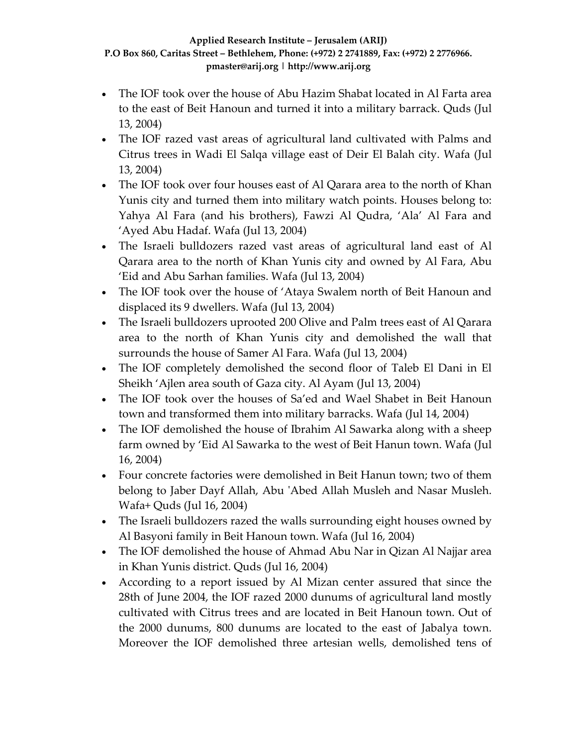- The IOF took over the house of Abu Hazim Shabat located in Al Farta area to the east of Beit Hanoun and turned it into a military barrack. Quds (Jul 13, 2004)
- The IOF razed vast areas of agricultural land cultivated with Palms and Citrus trees in Wadi El Salqa village east of Deir El Balah city. Wafa (Jul 13, 2004)
- The IOF took over four houses east of Al Qarara area to the north of Khan Yunis city and turned them into military watch points. Houses belong to: Yahya Al Fara (and his brothers), Fawzi Al Qudra, 'Ala' Al Fara and 'Ayed Abu Hadaf. Wafa (Jul 13, 2004)
- The Israeli bulldozers razed vast areas of agricultural land east of Al Qarara area to the north of Khan Yunis city and owned by Al Fara, Abu 'Eid and Abu Sarhan families. Wafa (Jul 13, 2004)
- The IOF took over the house of 'Ataya Swalem north of Beit Hanoun and displaced its 9 dwellers. Wafa (Jul 13, 2004)
- The Israeli bulldozers uprooted 200 Olive and Palm trees east of Al Qarara area to the north of Khan Yunis city and demolished the wall that surrounds the house of Samer Al Fara. Wafa (Jul 13, 2004)
- The IOF completely demolished the second floor of Taleb El Dani in El Sheikh 'Ajlen area south of Gaza city. Al Ayam (Jul 13, 2004)
- The IOF took over the houses of Sa'ed and Wael Shabet in Beit Hanoun town and transformed them into military barracks. Wafa (Jul 14, 2004)
- The IOF demolished the house of Ibrahim Al Sawarka along with a sheep farm owned by 'Eid Al Sawarka to the west of Beit Hanun town. Wafa (Jul 16, 2004)
- Four concrete factories were demolished in Beit Hanun town; two of them belong to Jaber Dayf Allah, Abu ʹAbed Allah Musleh and Nasar Musleh. Wafa+ Quds (Jul 16, 2004)
- The Israeli bulldozers razed the walls surrounding eight houses owned by Al Basyoni family in Beit Hanoun town. Wafa (Jul 16, 2004)
- The IOF demolished the house of Ahmad Abu Nar in Qizan Al Najjar area in Khan Yunis district. Quds (Jul 16, 2004)
- According to a report issued by Al Mizan center assured that since the 28th of June 2004, the IOF razed 2000 dunums of agricultural land mostly cultivated with Citrus trees and are located in Beit Hanoun town. Out of the 2000 dunums, 800 dunums are located to the east of Jabalya town. Moreover the IOF demolished three artesian wells, demolished tens of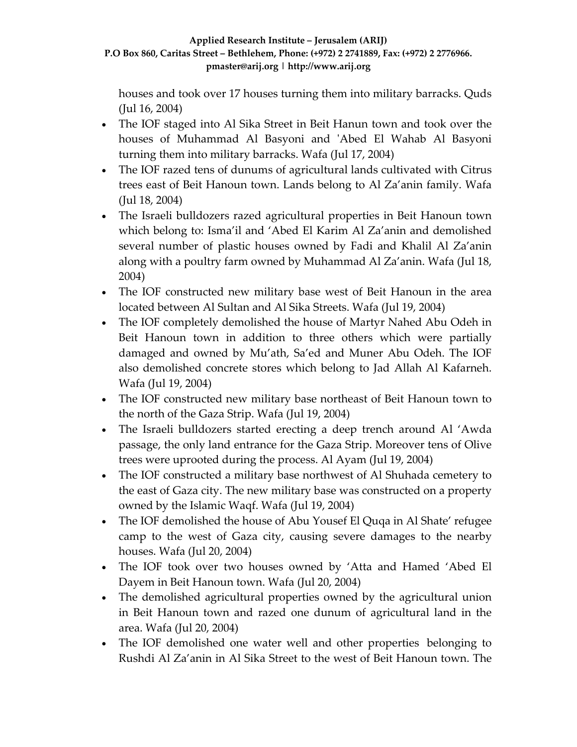houses and took over 17 houses turning them into military barracks. Quds (Jul 16, 2004)

- The IOF staged into Al Sika Street in Beit Hanun town and took over the houses of Muhammad Al Basyoni and ʹAbed El Wahab Al Basyoni turning them into military barracks. Wafa (Jul 17, 2004)
- The IOF razed tens of dunums of agricultural lands cultivated with Citrus trees east of Beit Hanoun town. Lands belong to Al Za'anin family. Wafa (Jul 18, 2004)
- The Israeli bulldozers razed agricultural properties in Beit Hanoun town which belong to: Isma'il and 'Abed El Karim Al Za'anin and demolished several number of plastic houses owned by Fadi and Khalil Al Za'anin along with a poultry farm owned by Muhammad Al Za'anin. Wafa (Jul 18, 2004)
- The IOF constructed new military base west of Beit Hanoun in the area located between Al Sultan and Al Sika Streets. Wafa (Jul 19, 2004)
- The IOF completely demolished the house of Martyr Nahed Abu Odeh in Beit Hanoun town in addition to three others which were partially damaged and owned by Mu'ath, Sa'ed and Muner Abu Odeh. The IOF also demolished concrete stores which belong to Jad Allah Al Kafarneh. Wafa (Jul 19, 2004)
- The IOF constructed new military base northeast of Beit Hanoun town to the north of the Gaza Strip. Wafa (Jul 19, 2004)
- The Israeli bulldozers started erecting a deep trench around Al 'Awda passage, the only land entrance for the Gaza Strip. Moreover tens of Olive trees were uprooted during the process. Al Ayam (Jul 19, 2004)
- The IOF constructed a military base northwest of Al Shuhada cemetery to the east of Gaza city. The new military base was constructed on a property owned by the Islamic Waqf. Wafa (Jul 19, 2004)
- The IOF demolished the house of Abu Yousef El Quqa in Al Shate' refugee camp to the west of Gaza city, causing severe damages to the nearby houses. Wafa (Jul 20, 2004)
- The IOF took over two houses owned by 'Atta and Hamed 'Abed El Dayem in Beit Hanoun town. Wafa (Jul 20, 2004)
- The demolished agricultural properties owned by the agricultural union in Beit Hanoun town and razed one dunum of agricultural land in the area. Wafa (Jul 20, 2004)
- The IOF demolished one water well and other properties belonging to Rushdi Al Za'anin in Al Sika Street to the west of Beit Hanoun town. The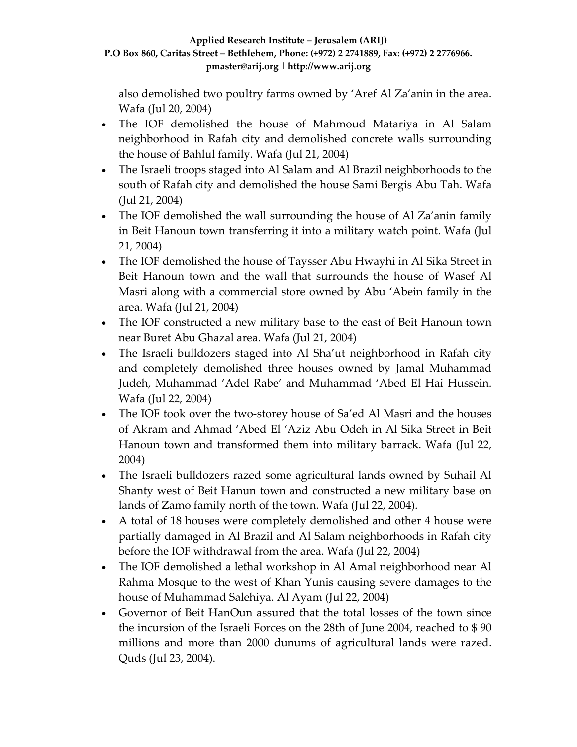also demolished two poultry farms owned by 'Aref Al Za'anin in the area. Wafa (Jul 20, 2004)

- The IOF demolished the house of Mahmoud Matariya in Al Salam neighborhood in Rafah city and demolished concrete walls surrounding the house of Bahlul family. Wafa (Jul 21, 2004)
- The Israeli troops staged into Al Salam and Al Brazil neighborhoods to the south of Rafah city and demolished the house Sami Bergis Abu Tah. Wafa (Jul 21, 2004)
- The IOF demolished the wall surrounding the house of Al Za'anin family in Beit Hanoun town transferring it into a military watch point. Wafa (Jul 21, 2004)
- The IOF demolished the house of Taysser Abu Hwayhi in Al Sika Street in Beit Hanoun town and the wall that surrounds the house of Wasef Al Masri along with a commercial store owned by Abu 'Abein family in the area. Wafa (Jul 21, 2004)
- The IOF constructed a new military base to the east of Beit Hanoun town near Buret Abu Ghazal area. Wafa (Jul 21, 2004)
- The Israeli bulldozers staged into Al Sha'ut neighborhood in Rafah city and completely demolished three houses owned by Jamal Muhammad Judeh, Muhammad 'Adel Rabe' and Muhammad 'Abed El Hai Hussein. Wafa (Jul 22, 2004)
- The IOF took over the two-storey house of Sa'ed Al Masri and the houses of Akram and Ahmad 'Abed El 'Aziz Abu Odeh in Al Sika Street in Beit Hanoun town and transformed them into military barrack. Wafa (Jul 22, 2004)
- The Israeli bulldozers razed some agricultural lands owned by Suhail Al Shanty west of Beit Hanun town and constructed a new military base on lands of Zamo family north of the town. Wafa (Jul 22, 2004).
- A total of 18 houses were completely demolished and other 4 house were partially damaged in Al Brazil and Al Salam neighborhoods in Rafah city before the IOF withdrawal from the area. Wafa (Jul 22, 2004)
- The IOF demolished a lethal workshop in Al Amal neighborhood near Al Rahma Mosque to the west of Khan Yunis causing severe damages to the house of Muhammad Salehiya. Al Ayam (Jul 22, 2004)
- Governor of Beit HanOun assured that the total losses of the town since the incursion of the Israeli Forces on the 28th of June 2004, reached to \$ 90 millions and more than 2000 dunums of agricultural lands were razed. Quds (Jul 23, 2004).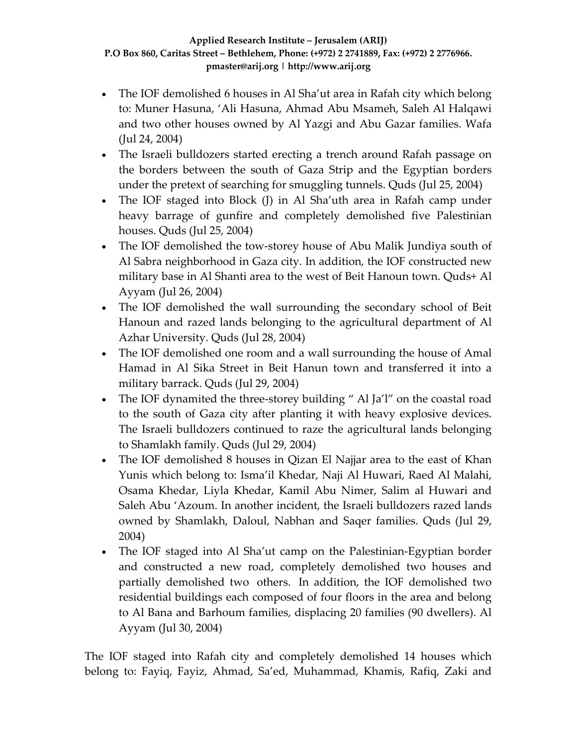- The IOF demolished 6 houses in Al Sha'ut area in Rafah city which belong to: Muner Hasuna, 'Ali Hasuna, Ahmad Abu Msameh, Saleh Al Halqawi and two other houses owned by Al Yazgi and Abu Gazar families. Wafa (Jul 24, 2004)
- The Israeli bulldozers started erecting a trench around Rafah passage on the borders between the south of Gaza Strip and the Egyptian borders under the pretext of searching for smuggling tunnels. Quds (Jul 25, 2004)
- The IOF staged into Block (J) in Al Sha'uth area in Rafah camp under heavy barrage of gunfire and completely demolished five Palestinian houses. Quds (Jul 25, 2004)
- The IOF demolished the tow-storey house of Abu Malik Jundiya south of Al Sabra neighborhood in Gaza city. In addition, the IOF constructed new military base in Al Shanti area to the west of Beit Hanoun town. Quds+ Al Ayyam (Jul 26, 2004)
- The IOF demolished the wall surrounding the secondary school of Beit Hanoun and razed lands belonging to the agricultural department of Al Azhar University. Quds (Jul 28, 2004)
- The IOF demolished one room and a wall surrounding the house of Amal Hamad in Al Sika Street in Beit Hanun town and transferred it into a military barrack. Quds (Jul 29, 2004)
- The IOF dynamited the three-storey building " Al Ja'l" on the coastal road to the south of Gaza city after planting it with heavy explosive devices. The Israeli bulldozers continued to raze the agricultural lands belonging to Shamlakh family. Quds (Jul 29, 2004)
- The IOF demolished 8 houses in Qizan El Najjar area to the east of Khan Yunis which belong to: Isma'il Khedar, Naji Al Huwari, Raed Al Malahi, Osama Khedar, Liyla Khedar, Kamil Abu Nimer, Salim al Huwari and Saleh Abu 'Azoum. In another incident, the Israeli bulldozers razed lands owned by Shamlakh, Daloul, Nabhan and Saqer families. Quds (Jul 29, 2004)
- The IOF staged into Al Sha'ut camp on the Palestinian-Egyptian border and constructed a new road, completely demolished two houses and partially demolished two others. In addition, the IOF demolished two residential buildings each composed of four floors in the area and belong to Al Bana and Barhoum families, displacing 20 families (90 dwellers). Al Ayyam (Jul 30, 2004)

The IOF staged into Rafah city and completely demolished 14 houses which belong to: Fayiq, Fayiz, Ahmad, Sa'ed, Muhammad, Khamis, Rafiq, Zaki and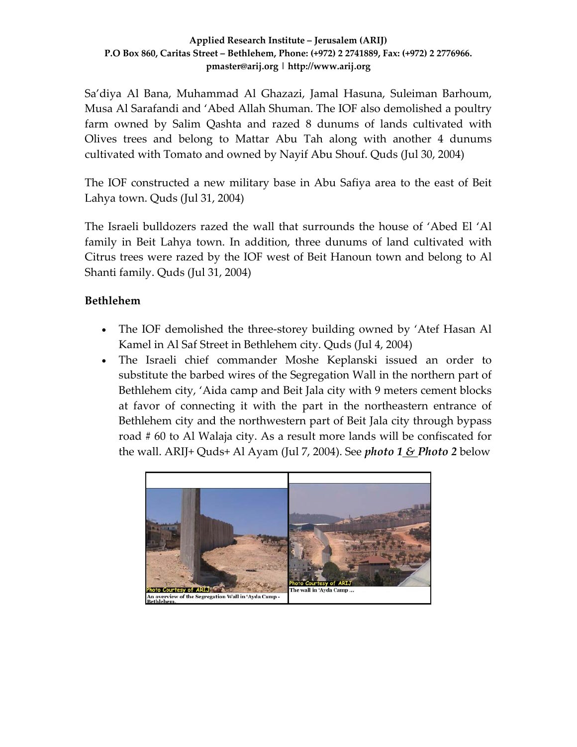Sa'diya Al Bana, Muhammad Al Ghazazi, Jamal Hasuna, Suleiman Barhoum, Musa Al Sarafandi and 'Abed Allah Shuman. The IOF also demolished a poultry farm owned by Salim Qashta and razed 8 dunums of lands cultivated with Olives trees and belong to Mattar Abu Tah along with another 4 dunums cultivated with Tomato and owned by Nayif Abu Shouf. Quds (Jul 30, 2004)

The IOF constructed a new military base in Abu Safiya area to the east of Beit Lahya town. Quds (Jul 31, 2004)

The Israeli bulldozers razed the wall that surrounds the house of 'Abed El 'Al family in Beit Lahya town. In addition, three dunums of land cultivated with Citrus trees were razed by the IOF west of Beit Hanoun town and belong to Al Shanti family. Quds (Jul 31, 2004)

### **Bethlehem**

- The IOF demolished the three-storey building owned by 'Atef Hasan Al Kamel in Al Saf Street in Bethlehem city. Quds (Jul 4, 2004)
- The Israeli chief commander Moshe Keplanski issued an order to substitute the barbed wires of the Segregation Wall in the northern part of Bethlehem city, 'Aida camp and Beit Jala city with 9 meters cement blocks at favor of connecting it with the part in the northeastern entrance of Bethlehem city and the northwestern part of Beit Jala city through bypass road # 60 to Al Walaja city. As a result more lands will be confiscated for the wall. ARIJ+ Quds+ Al Ayam (Jul 7, 2004). See *photo 1 & Photo 2* below

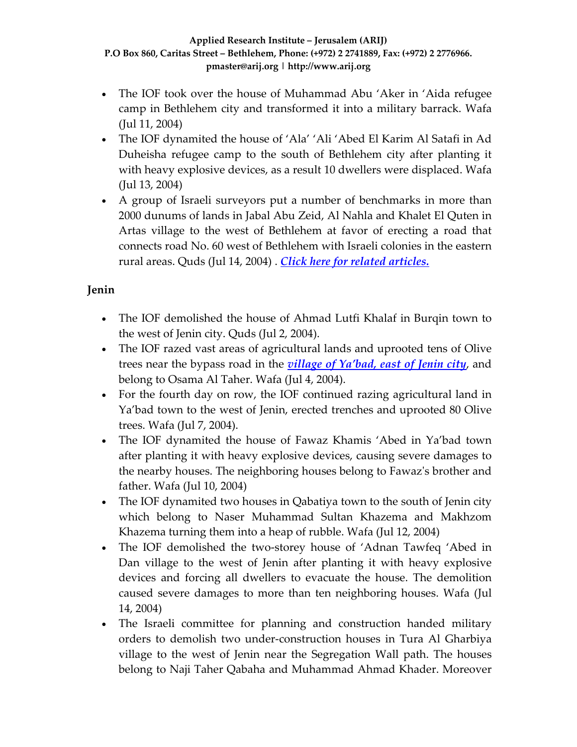- The IOF took over the house of Muhammad Abu 'Aker in 'Aida refugee camp in Bethlehem city and transformed it into a military barrack. Wafa (Jul 11, 2004)
- The IOF dynamited the house of 'Ala' 'Ali 'Abed El Karim Al Satafi in Ad Duheisha refugee camp to the south of Bethlehem city after planting it with heavy explosive devices, as a result 10 dwellers were displaced. Wafa (Jul 13, 2004)
- A group of Israeli surveyors put a number of benchmarks in more than 2000 dunums of lands in Jabal Abu Zeid, Al Nahla and Khalet El Quten in Artas village to the west of Bethlehem at favor of erecting a road that connects road No. 60 west of Bethlehem with Israeli colonies in the eastern rural areas. Quds (Jul 14, 2004) . *Click here for related [articles.](http://www.poica.org/editor/case_studies/view.php?recordID=417)*

### **Jenin**

- The IOF demolished the house of Ahmad Lutfi Khalaf in Burqin town to the west of Jenin city. Quds (Jul 2, 2004).
- The IOF razed vast areas of agricultural lands and uprooted tens of Olive trees near the bypass road in the *village of [Ya'bad,](http://www.poica.org/editor/case_studies/view.php?recordID=350) east of Jenin city*, and belong to Osama Al Taher. Wafa (Jul 4, 2004).
- For the fourth day on row, the IOF continued razing agricultural land in Ya'bad town to the west of Jenin, erected trenches and uprooted 80 Olive trees. Wafa (Jul 7, 2004).
- The IOF dynamited the house of Fawaz Khamis 'Abed in Ya'bad town after planting it with heavy explosive devices, causing severe damages to the nearby houses. The neighboring houses belong to Fawazʹs brother and father. Wafa (Jul 10, 2004)
- The IOF dynamited two houses in Qabatiya town to the south of Jenin city which belong to Naser Muhammad Sultan Khazema and Makhzom Khazema turning them into a heap of rubble. Wafa (Jul 12, 2004)
- The IOF demolished the two-storey house of 'Adnan Tawfeq 'Abed in Dan village to the west of Jenin after planting it with heavy explosive devices and forcing all dwellers to evacuate the house. The demolition caused severe damages to more than ten neighboring houses. Wafa (Jul 14, 2004)
- The Israeli committee for planning and construction handed military orders to demolish two under‐construction houses in Tura Al Gharbiya village to the west of Jenin near the Segregation Wall path. The houses belong to Naji Taher Qabaha and Muhammad Ahmad Khader. Moreover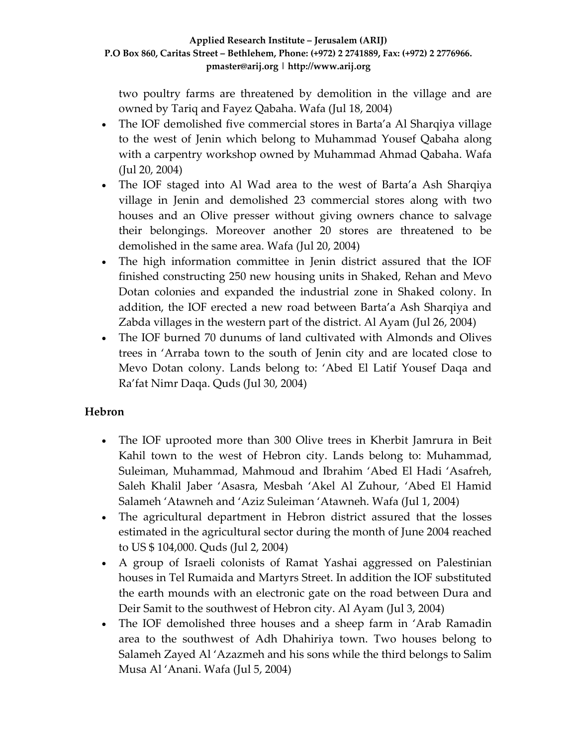two poultry farms are threatened by demolition in the village and are owned by Tariq and Fayez Qabaha. Wafa (Jul 18, 2004)

- The IOF demolished five commercial stores in Barta'a Al Sharqiya village to the west of Jenin which belong to Muhammad Yousef Qabaha along with a carpentry workshop owned by Muhammad Ahmad Qabaha. Wafa (Jul 20, 2004)
- The IOF staged into Al Wad area to the west of Barta'a Ash Sharqiya village in Jenin and demolished 23 commercial stores along with two houses and an Olive presser without giving owners chance to salvage their belongings. Moreover another 20 stores are threatened to be demolished in the same area. Wafa (Jul 20, 2004)
- The high information committee in Jenin district assured that the IOF finished constructing 250 new housing units in Shaked, Rehan and Mevo Dotan colonies and expanded the industrial zone in Shaked colony. In addition, the IOF erected a new road between Barta'a Ash Sharqiya and Zabda villages in the western part of the district. Al Ayam (Jul 26, 2004)
- The IOF burned 70 dunums of land cultivated with Almonds and Olives trees in 'Arraba town to the south of Jenin city and are located close to Mevo Dotan colony. Lands belong to: 'Abed El Latif Yousef Daqa and Ra'fat Nimr Daqa. Quds (Jul 30, 2004)

### **Hebron**

- The IOF uprooted more than 300 Olive trees in Kherbit Jamrura in Beit Kahil town to the west of Hebron city. Lands belong to: Muhammad, Suleiman, Muhammad, Mahmoud and Ibrahim 'Abed El Hadi 'Asafreh, Saleh Khalil Jaber 'Asasra, Mesbah 'Akel Al Zuhour, 'Abed El Hamid Salameh 'Atawneh and 'Aziz Suleiman 'Atawneh. Wafa (Jul 1, 2004)
- The agricultural department in Hebron district assured that the losses estimated in the agricultural sector during the month of June 2004 reached to US \$ 104,000. Quds (Jul 2, 2004)
- A group of Israeli colonists of Ramat Yashai aggressed on Palestinian houses in Tel Rumaida and Martyrs Street. In addition the IOF substituted the earth mounds with an electronic gate on the road between Dura and Deir Samit to the southwest of Hebron city. Al Ayam (Jul 3, 2004)
- The IOF demolished three houses and a sheep farm in 'Arab Ramadin area to the southwest of Adh Dhahiriya town. Two houses belong to Salameh Zayed Al 'Azazmeh and his sons while the third belongs to Salim Musa Al 'Anani. Wafa (Jul 5, 2004)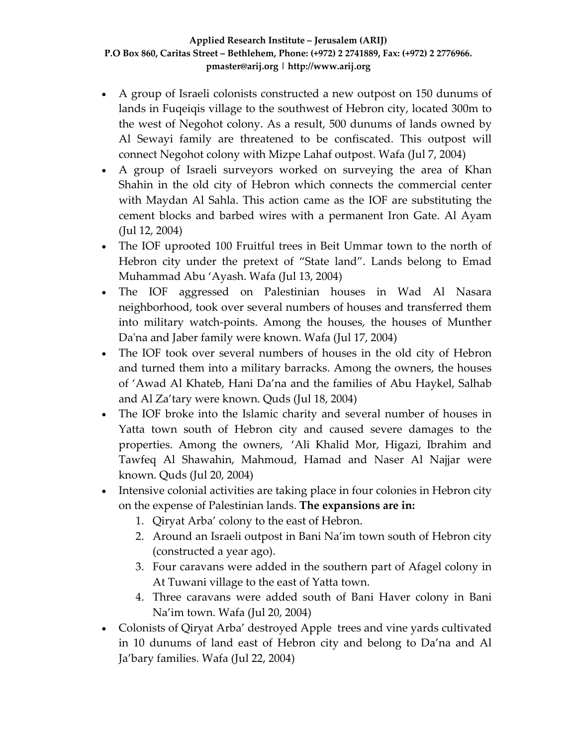- A group of Israeli colonists constructed a new outpost on 150 dunums of lands in Fuqeiqis village to the southwest of Hebron city, located 300m to the west of Negohot colony. As a result, 500 dunums of lands owned by Al Sewayi family are threatened to be confiscated. This outpost will connect Negohot colony with Mizpe Lahaf outpost. Wafa (Jul 7, 2004)
- A group of Israeli surveyors worked on surveying the area of Khan Shahin in the old city of Hebron which connects the commercial center with Maydan Al Sahla. This action came as the IOF are substituting the cement blocks and barbed wires with a permanent Iron Gate. Al Ayam (Jul 12, 2004)
- The IOF uprooted 100 Fruitful trees in Beit Ummar town to the north of Hebron city under the pretext of "State land". Lands belong to Emad Muhammad Abu 'Ayash. Wafa (Jul 13, 2004)
- The IOF aggressed on Palestinian houses in Wad Al Nasara neighborhood, took over several numbers of houses and transferred them into military watch‐points. Among the houses, the houses of Munther Daʹna and Jaber family were known. Wafa (Jul 17, 2004)
- The IOF took over several numbers of houses in the old city of Hebron and turned them into a military barracks. Among the owners, the houses of 'Awad Al Khateb, Hani Da'na and the families of Abu Haykel, Salhab and Al Za'tary were known. Quds (Jul 18, 2004)
- The IOF broke into the Islamic charity and several number of houses in Yatta town south of Hebron city and caused severe damages to the properties. Among the owners, 'Ali Khalid Mor, Higazi, Ibrahim and Tawfeq Al Shawahin, Mahmoud, Hamad and Naser Al Najjar were known. Quds (Jul 20, 2004)
- Intensive colonial activities are taking place in four colonies in Hebron city on the expense of Palestinian lands. **The expansions are in:**
	- 1. Qiryat Arba' colony to the east of Hebron.
	- 2. Around an Israeli outpost in Bani Na'im town south of Hebron city (constructed a year ago).
	- 3. Four caravans were added in the southern part of Afagel colony in At Tuwani village to the east of Yatta town.
	- 4. Three caravans were added south of Bani Haver colony in Bani Na'im town. Wafa (Jul 20, 2004)
- Colonists of Qiryat Arba' destroyed Apple trees and vine yards cultivated in 10 dunums of land east of Hebron city and belong to Da'na and Al Ja'bary families. Wafa (Jul 22, 2004)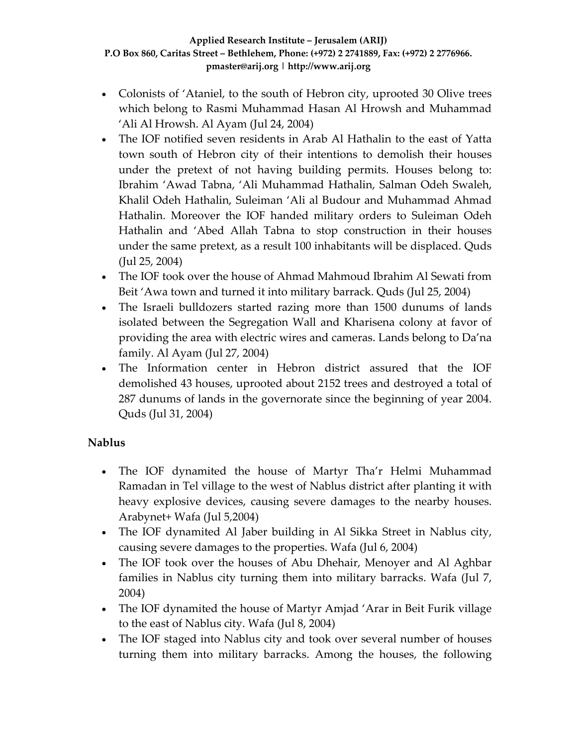- Colonists of 'Ataniel, to the south of Hebron city, uprooted 30 Olive trees which belong to Rasmi Muhammad Hasan Al Hrowsh and Muhammad 'Ali Al Hrowsh. Al Ayam (Jul 24, 2004)
- The IOF notified seven residents in Arab Al Hathalin to the east of Yatta town south of Hebron city of their intentions to demolish their houses under the pretext of not having building permits. Houses belong to: Ibrahim 'Awad Tabna, 'Ali Muhammad Hathalin, Salman Odeh Swaleh, Khalil Odeh Hathalin, Suleiman 'Ali al Budour and Muhammad Ahmad Hathalin. Moreover the IOF handed military orders to Suleiman Odeh Hathalin and 'Abed Allah Tabna to stop construction in their houses under the same pretext, as a result 100 inhabitants will be displaced. Quds (Jul 25, 2004)
- The IOF took over the house of Ahmad Mahmoud Ibrahim Al Sewati from Beit 'Awa town and turned it into military barrack. Quds (Jul 25, 2004)
- The Israeli bulldozers started razing more than 1500 dunums of lands isolated between the Segregation Wall and Kharisena colony at favor of providing the area with electric wires and cameras. Lands belong to Da'na family. Al Ayam (Jul 27, 2004)
- The Information center in Hebron district assured that the IOF demolished 43 houses, uprooted about 2152 trees and destroyed a total of 287 dunums of lands in the governorate since the beginning of year 2004. Quds (Jul 31, 2004)

### **Nablus**

- The IOF dynamited the house of Martyr Tha'r Helmi Muhammad Ramadan in Tel village to the west of Nablus district after planting it with heavy explosive devices, causing severe damages to the nearby houses. Arabynet+ Wafa (Jul 5,2004)
- The IOF dynamited Al Jaber building in Al Sikka Street in Nablus city, causing severe damages to the properties. Wafa (Jul 6, 2004)
- The IOF took over the houses of Abu Dhehair, Menoyer and Al Aghbar families in Nablus city turning them into military barracks. Wafa (Jul 7, 2004)
- The IOF dynamited the house of Martyr Amjad 'Arar in Beit Furik village to the east of Nablus city. Wafa (Jul 8, 2004)
- The IOF staged into Nablus city and took over several number of houses turning them into military barracks. Among the houses, the following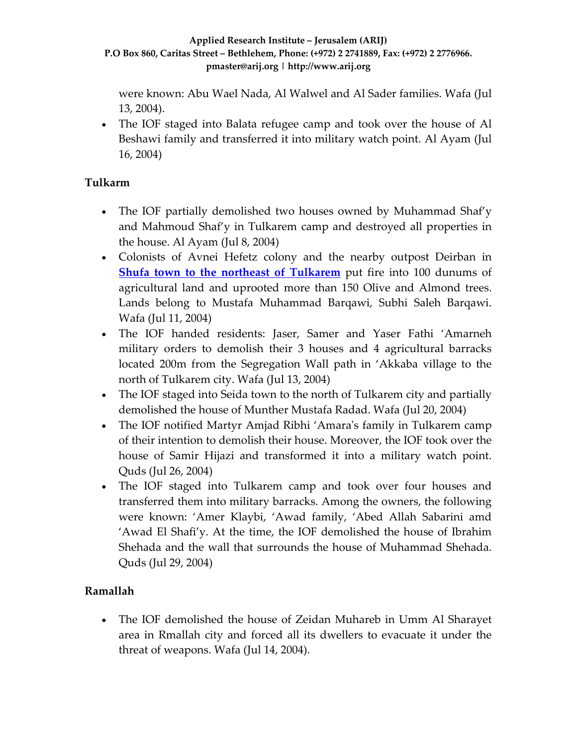were known: Abu Wael Nada, Al Walwel and Al Sader families. Wafa (Jul 13, 2004).

• The IOF staged into Balata refugee camp and took over the house of Al Beshawi family and transferred it into military watch point. Al Ayam (Jul 16, 2004)

### **Tulkarm**

- The IOF partially demolished two houses owned by Muhammad Shaf'y and Mahmoud Shaf'y in Tulkarem camp and destroyed all properties in the house. Al Ayam (Jul 8, 2004)
- Colonists of Avnei Hefetz colony and the nearby outpost Deirban in **Shufa town to the northeast of [Tulkarem](http://www.poica.org/editor/case_studies/view.php?recordID=422)** put fire into 100 dunums of agricultural land and uprooted more than 150 Olive and Almond trees. Lands belong to Mustafa Muhammad Barqawi, Subhi Saleh Barqawi. Wafa (Jul 11, 2004)
- The IOF handed residents: Jaser, Samer and Yaser Fathi 'Amarneh military orders to demolish their 3 houses and 4 agricultural barracks located 200m from the Segregation Wall path in 'Akkaba village to the north of Tulkarem city. Wafa (Jul 13, 2004)
- The IOF staged into Seida town to the north of Tulkarem city and partially demolished the house of Munther Mustafa Radad. Wafa (Jul 20, 2004)
- The IOF notified Martyr Amjad Ribhi 'Amara's family in Tulkarem camp of their intention to demolish their house. Moreover, the IOF took over the house of Samir Hijazi and transformed it into a military watch point. Quds (Jul 26, 2004)
- The IOF staged into Tulkarem camp and took over four houses and transferred them into military barracks. Among the owners, the following were known: 'Amer Klaybi, 'Awad family, 'Abed Allah Sabarini amd 'Awad El Shafi'y. At the time, the IOF demolished the house of Ibrahim Shehada and the wall that surrounds the house of Muhammad Shehada. Quds (Jul 29, 2004)

### **Ramallah**

• The IOF demolished the house of Zeidan Muhareb in Umm Al Sharayet area in Rmallah city and forced all its dwellers to evacuate it under the threat of weapons. Wafa (Jul 14, 2004).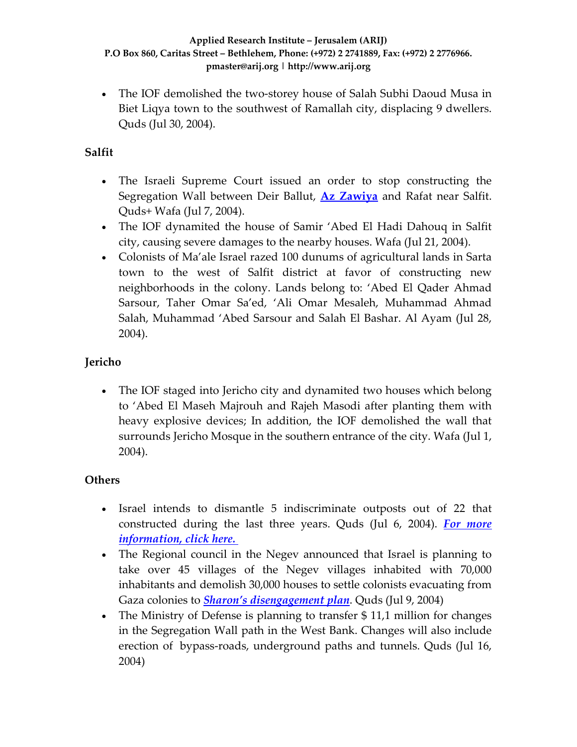• The IOF demolished the two-storey house of Salah Subhi Daoud Musa in Biet Liqya town to the southwest of Ramallah city, displacing 9 dwellers. Quds (Jul 30, 2004).

### **Salfit**

- The Israeli Supreme Court issued an order to stop constructing the Segregation Wall between Deir Ballut, **Az [Zawiya](http://www.poica.org/editor/case_studies/view.php?recordID=423)** and Rafat near Salfit. Quds+ Wafa (Jul 7, 2004).
- The IOF dynamited the house of Samir 'Abed El Hadi Dahouq in Salfit city, causing severe damages to the nearby houses. Wafa (Jul 21, 2004).
- Colonists of Ma'ale Israel razed 100 dunums of agricultural lands in Sarta town to the west of Salfit district at favor of constructing new neighborhoods in the colony. Lands belong to: 'Abed El Qader Ahmad Sarsour, Taher Omar Sa'ed, 'Ali Omar Mesaleh, Muhammad Ahmad Salah, Muhammad 'Abed Sarsour and Salah El Bashar. Al Ayam (Jul 28, 2004).

### **Jericho**

• The IOF staged into Jericho city and dynamited two houses which belong to 'Abed El Maseh Majrouh and Rajeh Masodi after planting them with heavy explosive devices; In addition, the IOF demolished the wall that surrounds Jericho Mosque in the southern entrance of the city. Wafa (Jul 1, 2004).

### **Others**

- Israel intends to dismantle 5 indiscriminate outposts out of 22 that constructed during the last three years. Quds (Jul 6, 2004). *For [more](http://www.poica.org/editor/case_studies/view.php?recordID=419) [information,](http://www.poica.org/editor/case_studies/view.php?recordID=419) click here.*
- The Regional council in the Negev announced that Israel is planning to take over 45 villages of the Negev villages inhabited with 70,000 inhabitants and demolish 30,000 houses to settle colonists evacuating from Gaza colonies to *Sharon's [disengagement](http://www.poica.org/editor/case_studies/view.php?recordID=359) plan*. Quds (Jul 9, 2004)
- The Ministry of Defense is planning to transfer \$11,1 million for changes in the Segregation Wall path in the West Bank. Changes will also include erection of bypass-roads, underground paths and tunnels. Quds (Jul 16, 2004)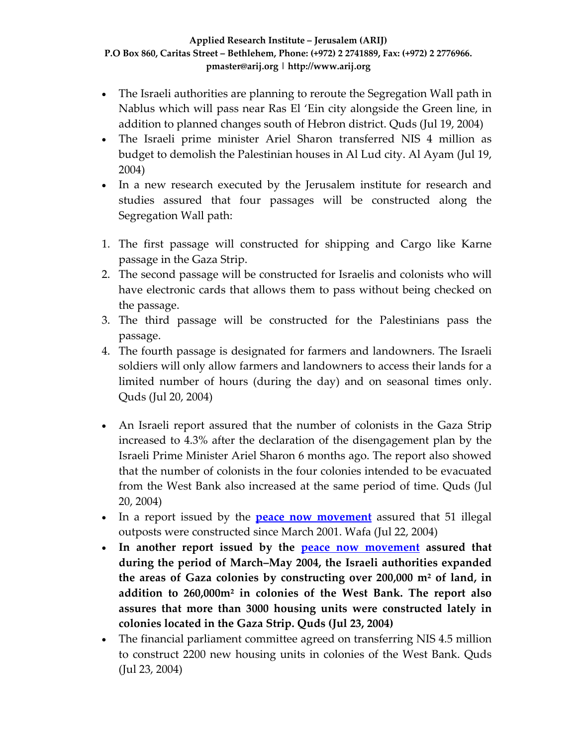- The Israeli authorities are planning to reroute the Segregation Wall path in Nablus which will pass near Ras El 'Ein city alongside the Green line, in addition to planned changes south of Hebron district. Quds (Jul 19, 2004)
- The Israeli prime minister Ariel Sharon transferred NIS 4 million as budget to demolish the Palestinian houses in Al Lud city. Al Ayam (Jul 19, 2004)
- In a new research executed by the Jerusalem institute for research and studies assured that four passages will be constructed along the Segregation Wall path:
- 1. The first passage will constructed for shipping and Cargo like Karne passage in the Gaza Strip.
- 2. The second passage will be constructed for Israelis and colonists who will have electronic cards that allows them to pass without being checked on the passage.
- 3. The third passage will be constructed for the Palestinians pass the passage.
- 4. The fourth passage is designated for farmers and landowners. The Israeli soldiers will only allow farmers and landowners to access their lands for a limited number of hours (during the day) and on seasonal times only. Quds (Jul 20, 2004)
- An Israeli report assured that the number of colonists in the Gaza Strip increased to 4.3% after the declaration of the disengagement plan by the Israeli Prime Minister Ariel Sharon 6 months ago. The report also showed that the number of colonists in the four colonies intended to be evacuated from the West Bank also increased at the same period of time. Quds (Jul 20, 2004)
- In a report issued by the **peace now [movement](http://www.peacenow.org.il/)** assured that 51 illegal outposts were constructed since March 2001. Wafa (Jul 22, 2004)
- **In another report issued by the peace now [movement](http://www.peacenow.org.il/) assured that during the period of March–May 2004, the Israeli authorities expanded the areas of Gaza colonies by constructing over 200,000 m² of land, in addition to 260,000m² in colonies of the West Bank. The report also assures that more than 3000 housing units were constructed lately in colonies located in the Gaza Strip. Quds (Jul 23, 2004)**
- The financial parliament committee agreed on transferring NIS 4.5 million to construct 2200 new housing units in colonies of the West Bank. Quds (Jul 23, 2004)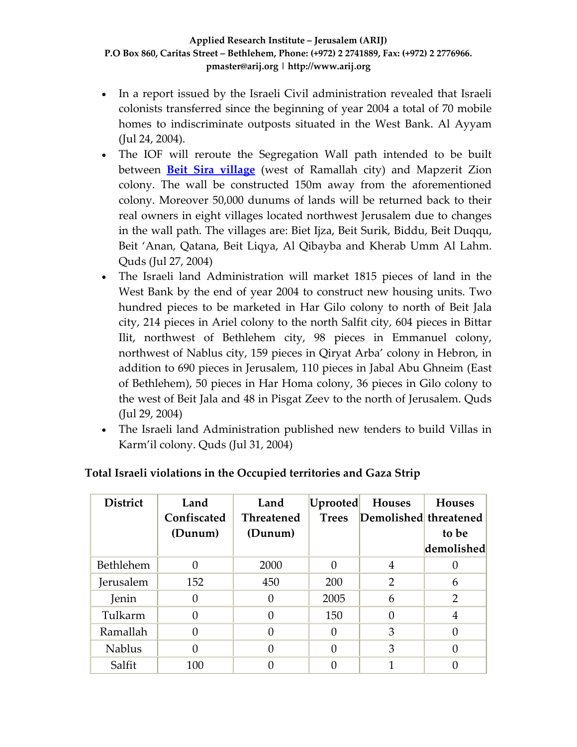- In a report issued by the Israeli Civil administration revealed that Israeli colonists transferred since the beginning of year 2004 a total of 70 mobile homes to indiscriminate outposts situated in the West Bank. Al Ayyam (Jul 24, 2004).
- The IOF will reroute the Segregation Wall path intended to be built between **Beit Sira [village](http://www.poica.org/editor/case_studies/view.php?recordID=410)** (west of Ramallah city) and Mapzerit Zion colony. The wall be constructed 150m away from the aforementioned colony. Moreover 50,000 dunums of lands will be returned back to their real owners in eight villages located northwest Jerusalem due to changes in the wall path. The villages are: Biet Ijza, Beit Surik, Biddu, Beit Duqqu, Beit 'Anan, Qatana, Beit Liqya, Al Qibayba and Kherab Umm Al Lahm. Quds (Jul 27, 2004)
- The Israeli land Administration will market 1815 pieces of land in the West Bank by the end of year 2004 to construct new housing units. Two hundred pieces to be marketed in Har Gilo colony to north of Beit Jala city, 214 pieces in Ariel colony to the north Salfit city, 604 pieces in Bittar Ilit, northwest of Bethlehem city, 98 pieces in Emmanuel colony, northwest of Nablus city, 159 pieces in Qiryat Arba' colony in Hebron, in addition to 690 pieces in Jerusalem, 110 pieces in Jabal Abu Ghneim (East of Bethlehem), 50 pieces in Har Homa colony, 36 pieces in Gilo colony to the west of Beit Jala and 48 in Pisgat Zeev to the north of Jerusalem. Quds (Jul 29, 2004)
- The Israeli land Administration published new tenders to build Villas in Karm'il colony. Quds (Jul 31, 2004)

| <b>District</b> | Land              | Land              | Uprooted     | <b>Houses</b>               | <b>Houses</b> |
|-----------------|-------------------|-------------------|--------------|-----------------------------|---------------|
|                 | Confiscated       | <b>Threatened</b> |              | Trees Demolished threatened |               |
|                 | (Dunum)           | (Dunum)           |              |                             | to be         |
|                 |                   |                   |              |                             | demolished    |
| Bethlehem       | $\mathbf{\Omega}$ | 2000              | $\mathbf{0}$ | 4                           |               |
| Jerusalem       | 152               | 450               | 200          | 2                           | 6             |
| Jenin           |                   | 0                 | 2005         | 6                           | 2             |
| Tulkarm         |                   | 0                 | 150          | 0                           | 4             |
| Ramallah        | $\mathbf{0}$      | 0                 | $\mathbf{0}$ | 3                           | 0             |
| <b>Nablus</b>   |                   |                   | 0            | 3                           |               |
| Salfit          | 100               |                   |              |                             |               |

### **Total Israeli violations in the Occupied territories and Gaza Strip**